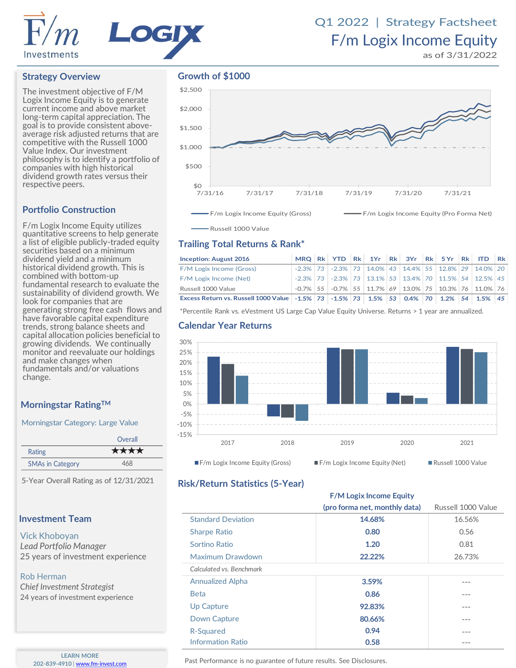

## F/m Logix Income Equity Q1 2022 | Strategy Factsheet

as of 3/31/2022

### **Strategy Overview**

The investment objective of F/M Logix Income Equity is to generate current income and above market long-term capital appreciation. The goal is to provide consistent aboveaverage risk adjusted returns that are competitive with the Russell 1000 Value Index. Our investment philosophy is to identify a portfolio of companies with high historical dividend growth rates versus their respective peers.

### **Portfolio Construction**

F/m Logix Income Equity utilizes quantitative screens to help generate a list of eligible publicly-traded equity securities based on a minimum dividend yield and a minimum historical dividend growth. This is combined with bottom-up fundamental research to evaluate the sustainability of dividend growth. We look for companies that are generating strong free cash flows and have favorable capital expenditure trends, strong balance sheets and capital allocation policies beneficial to growing dividends. We continually monitor and reevaluate our holdings and make changes when fundamentals and/or valuations change.

### **Morningstar RatingTM**

### Morningstar Category: Large Value

|                         | Overall |
|-------------------------|---------|
| Rating                  | ****    |
| <b>SMAs in Category</b> | 468     |

5-Year Overall Rating as of 12/31/2021

### **Investment Team**

### Vick Khoboyan

*Lead Portfolio Manager* 25 years of investment experience

### Rob Herman

*Chief Investment Strategist* 24 years of investment experience

> **LEARN MORE 202-839-4910** | [www.fm-invest.com](http://www.fm-funds.com/)

### **Growth of \$1000**



Russell 1000 Value

### **Trailing Total Returns & Rank\***

| <b>Inception: August 2016</b>                                                                      |             |  |  |  |  | MRQ Rk YTD Rk 1Yr Rk 3Yr Rk 5Yr Rk ITD                                            | Rk |
|----------------------------------------------------------------------------------------------------|-------------|--|--|--|--|-----------------------------------------------------------------------------------|----|
| F/M Logix Income (Gross)                                                                           |             |  |  |  |  | $-2.3\%$   73   $-2.3\%$   73   14.0%   43   14.4%   55   12.8%   29   14.0%   20 |    |
| F/M Logix Income (Net)                                                                             | $-2.3\%$ 73 |  |  |  |  | $-2.3\%$   73   13.1%   53   13.4%   70   11.5%   54   12.5%   45                 |    |
| Russell 1000 Value                                                                                 |             |  |  |  |  | $-0.7\%$   55   $-0.7\%$   55   11.7%   69   13.0%   75   10.3%   76   11.0%   76 |    |
| Excess Return vs. Russell 1000 Value   -1.5%   73   -1.5%   73   1.5%   53   0.4%   70   1.2%   54 |             |  |  |  |  | $1.5\%$                                                                           | 45 |

\*Percentile Rank vs. eVestment US Large Cap Value Equity Universe. Returns > 1 year are annualized.

### **Calendar Year Returns**



### **Risk/Return Statistics (5-Year)**

|                           | (pro forma net, monthly data) | Russell 1000 Value |
|---------------------------|-------------------------------|--------------------|
| <b>Standard Deviation</b> | 14.68%                        | 16.56%             |
| <b>Sharpe Ratio</b>       | 0.80                          | 0.56               |
| Sortino Ratio             | 1.20                          | 0.81               |
| Maximum Drawdown          | 22.22%                        | 26.73%             |
| Calculated vs. Benchmark  |                               |                    |
| <b>Annualized Alpha</b>   | 3.59%                         |                    |
| <b>Beta</b>               | 0.86                          |                    |
| Up Capture                | 92.83%                        |                    |
| Down Capture              | 80.66%                        |                    |
| R-Squared                 | 0.94                          |                    |
| <b>Information Ratio</b>  | 0.58                          |                    |

**F/M Logix Income Equity**

Past Performance is no guarantee of future results. See Disclosures.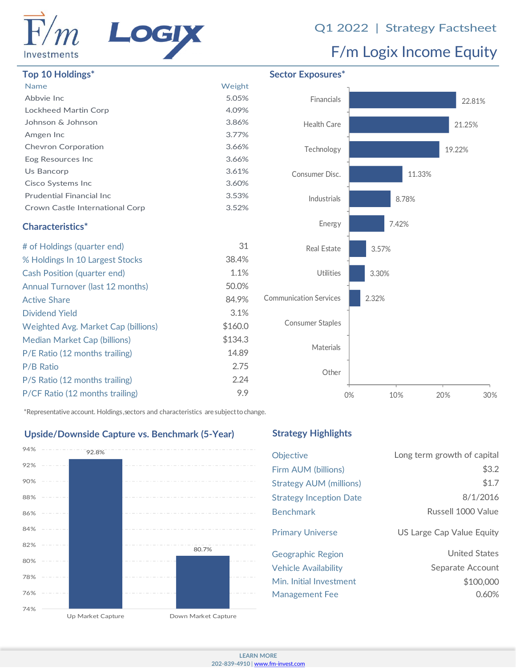

# Q1 2022 | Strategy Factsheet<br>F/m Logix Income Equity

| <b>Name</b>                      | Weight |
|----------------------------------|--------|
| Abbyie Inc                       | 5.05%  |
| Lockheed Martin Corp             | 4.09%  |
| Johnson & Johnson                | 3.86%  |
| Amgen Inc                        | 3.77%  |
| <b>Chevron Corporation</b>       | 3.66%  |
| Eog Resources Inc                | 3.66%  |
| Us Bancorp                       | 3.61%  |
| Cisco Systems Inc                | 3.60%  |
| <b>Prudential Financial Inc.</b> | 3.53%  |
| Crown Castle International Corp  | 3.52%  |
|                                  |        |

### **Characteristics\***

| # of Holdings (quarter end)         | 31      |
|-------------------------------------|---------|
| % Holdings In 10 Largest Stocks     | 38.4%   |
| Cash Position (quarter end)         | 1.1%    |
| Annual Turnover (last 12 months)    | 50.0%   |
| <b>Active Share</b>                 | 84.9%   |
| Dividend Yield                      | 3.1%    |
| Weighted Avg. Market Cap (billions) | \$160.0 |
| Median Market Cap (billions)        | \$134.3 |
| P/E Ratio (12 months trailing)      | 14.89   |
| P/B Ratio                           | 2.75    |
| P/S Ratio (12 months trailing)      | 2.24    |
| P/CF Ratio (12 months trailing)     | 9.9     |
|                                     |         |



\*Representative account. Holdings, sectors and characteristics are subjecttochange.

### **Upside/Downside Capture vs. Benchmark (5-Year)**



### **Strategy Highlights**

| <b>Objective</b>               | Long term growth of capital |
|--------------------------------|-----------------------------|
| Firm AUM (billions)            | \$3.2                       |
| Strategy AUM (millions)        | \$1.7                       |
| <b>Strategy Inception Date</b> | 8/1/2016                    |
| <b>Benchmark</b>               | Russell 1000 Value          |
| <b>Primary Universe</b>        | US Large Cap Value Equity   |
| Geographic Region              | United States               |
| <b>Vehicle Availability</b>    | Separate Account            |
| Min. Initial Investment        | \$100,000                   |
| <b>Management Fee</b>          | 0.60%                       |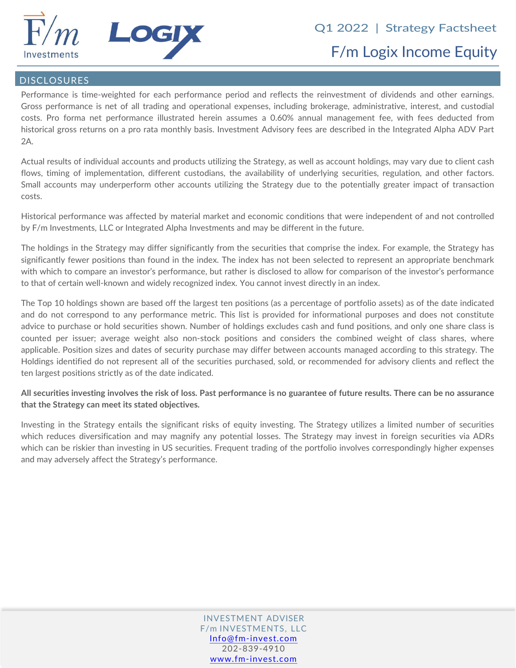

### DISCLOSURES

Performance is time-weighted for each performance period and reflects the reinvestment of dividends and other earnings. Gross performance is net of all trading and operational expenses, including brokerage, administrative, interest, and custodial costs. Pro forma net performance illustrated herein assumes a 0.60% annual management fee, with fees deducted from historical gross returns on a pro rata monthly basis. Investment Advisory fees are described in the Integrated Alpha ADV Part 2A.

Actual results of individual accounts and products utilizing the Strategy, as well as account holdings, may vary due to client cash flows, timing of implementation, different custodians, the availability of underlying securities, regulation, and other factors. Small accounts may underperform other accounts utilizing the Strategy due to the potentially greater impact of transaction costs.

Historical performance was affected by material market and economic conditions that were independent of and not controlled by F/m Investments, LLC or Integrated Alpha Investments and may be different in the future.

The holdings in the Strategy may differ significantly from the securities that comprise the index. For example, the Strategy has significantly fewer positions than found in the index. The index has not been selected to represent an appropriate benchmark with which to compare an investor's performance, but rather is disclosed to allow for comparison of the investor's performance to that of certain well-known and widely recognized index. You cannot invest directly in an index.

The Top 10 holdings shown are based off the largest ten positions (as a percentage of portfolio assets) as of the date indicated and do not correspond to any performance metric. This list is provided for informational purposes and does not constitute advice to purchase or hold securities shown. Number of holdings excludes cash and fund positions, and only one share class is counted per issuer; average weight also non-stock positions and considers the combined weight of class shares, where applicable. Position sizes and dates of security purchase may differ between accounts managed according to this strategy. The Holdings identified do not represent all of the securities purchased, sold, or recommended for advisory clients and reflect the ten largest positions strictly as of the date indicated.

All securities investing involves the risk of loss. Past performance is no guarantee of future results. There can be no assurance **that the Strategy can meet its stated objectives.**

Investing in the Strategy entails the significant risks of equity investing. The Strategy utilizes a limited number of securities which reduces diversification and may magnify any potential losses. The Strategy may invest in foreign securities via ADRs which can be riskier than investing in US securities. Frequent trading of the portfolio involves correspondingly higher expenses and may adversely affect the Strategy's performance.

> INVESTMENT ADVISER F/m INVESTMENTS, LLC [Info@fm-invest.com](mailto:Info@fm-funds.com) 202-839-4910 [www.fm-invest.com](http://www.fm-invest.com/)